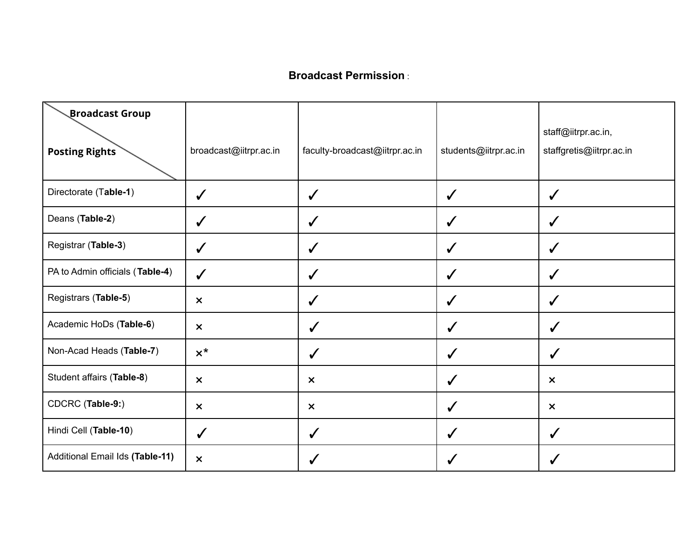#### **Broadcast Permission** :

| <b>Broadcast Group</b><br><b>Posting Rights</b> | broadcast@iitrpr.ac.in    | faculty-broadcast@iitrpr.ac.in | students@iitrpr.ac.in | staff@iitrpr.ac.in,<br>staffgretis@iitrpr.ac.in |
|-------------------------------------------------|---------------------------|--------------------------------|-----------------------|-------------------------------------------------|
| Directorate (Table-1)                           | $\checkmark$              |                                | ✓                     | $\checkmark$                                    |
| Deans (Table-2)                                 | $\checkmark$              | $\checkmark$                   | $\checkmark$          | $\checkmark$                                    |
| Registrar (Table-3)                             | $\checkmark$              | $\checkmark$                   | $\checkmark$          | $\checkmark$                                    |
| PA to Admin officials (Table-4)                 | $\checkmark$              |                                | ✓                     | $\checkmark$                                    |
| Registrars (Table-5)                            | $\boldsymbol{\mathsf{x}}$ | $\checkmark$                   | $\checkmark$          | $\checkmark$                                    |
| Academic HoDs (Table-6)                         | $\pmb{\times}$            | $\checkmark$                   | $\checkmark$          | $\checkmark$                                    |
| Non-Acad Heads (Table-7)                        | $x^*$                     | $\checkmark$                   | ✓                     | $\checkmark$                                    |
| Student affairs (Table-8)                       | $\boldsymbol{\mathsf{x}}$ | $\boldsymbol{\mathsf{x}}$      | $\checkmark$          | $\pmb{\times}$                                  |
| CDCRC (Table-9:)                                | $\pmb{\times}$            | $\boldsymbol{\mathsf{x}}$      | $\checkmark$          | $\pmb{\times}$                                  |
| Hindi Cell (Table-10)                           | $\checkmark$              | $\checkmark$                   | $\checkmark$          | $\checkmark$                                    |
| Additional Email Ids (Table-11)                 | $\boldsymbol{\mathsf{x}}$ | ✓                              | ✔                     | ✔                                               |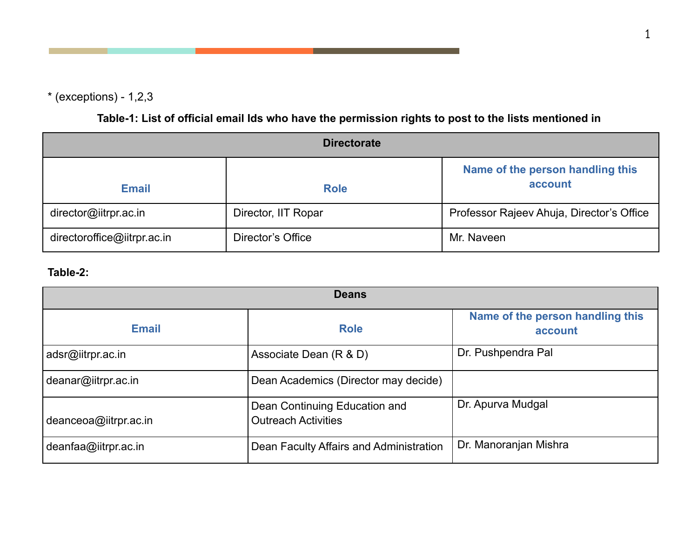$*$  (exceptions) - 1,2,3

Table-1: List of official email Ids who have the permission rights to post to the lists mentioned in

| <b>Directorate</b>          |                     |                                             |  |
|-----------------------------|---------------------|---------------------------------------------|--|
| <b>Email</b>                | <b>Role</b>         | Name of the person handling this<br>account |  |
| director@iitrpr.ac.in       | Director, IIT Ropar | Professor Rajeev Ahuja, Director's Office   |  |
| directoroffice@iitrpr.ac.in | Director's Office   | Mr. Naveen                                  |  |

### **Table-2:**

| <b>Deans</b>          |                                                             |                                             |  |
|-----------------------|-------------------------------------------------------------|---------------------------------------------|--|
| <b>Email</b>          | <b>Role</b>                                                 | Name of the person handling this<br>account |  |
| adsr@iitrpr.ac.in     | Associate Dean (R & D)                                      | Dr. Pushpendra Pal                          |  |
| deanar@iitrpr.ac.in   | Dean Academics (Director may decide)                        |                                             |  |
| deanceoa@iitrpr.ac.in | Dean Continuing Education and<br><b>Outreach Activities</b> | Dr. Apurva Mudgal                           |  |
| deanfaa@iitrpr.ac.in  | Dean Faculty Affairs and Administration                     | Dr. Manoranjan Mishra                       |  |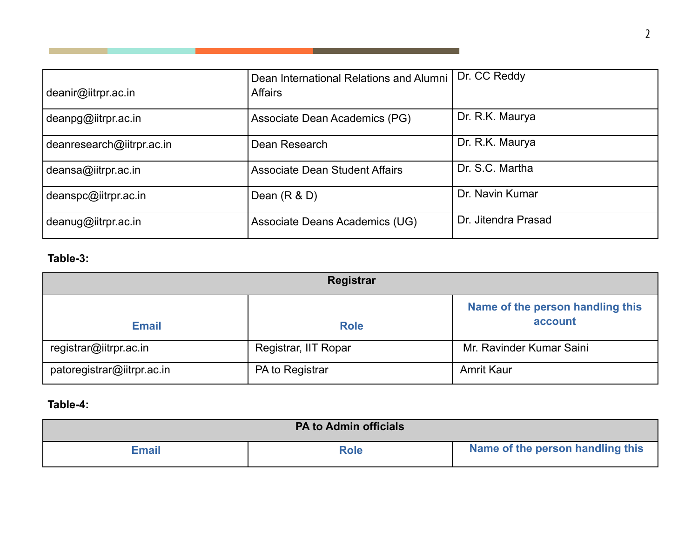| deanir@iitrpr.ac.in       | Dean International Relations and Alumni<br><b>Affairs</b> | Dr. CC Reddy        |
|---------------------------|-----------------------------------------------------------|---------------------|
| deanpg@iitrpr.ac.in       | Associate Dean Academics (PG)                             | Dr. R.K. Maurya     |
| deanresearch@iitrpr.ac.in | Dean Research                                             | Dr. R.K. Maurya     |
| deansa@iitrpr.ac.in       | <b>Associate Dean Student Affairs</b>                     | Dr. S.C. Martha     |
| deanspc@iitrpr.ac.in      | Dean $(R & D)$                                            | Dr. Navin Kumar     |
| deanug@iitrpr.ac.in       | Associate Deans Academics (UG)                            | Dr. Jitendra Prasad |

 $\blacksquare$  . The contract of the contract of  $\blacksquare$ 

## **Table-3:**

**Tara** 

| Registrar                  |                      |                                             |  |
|----------------------------|----------------------|---------------------------------------------|--|
| <b>Email</b>               | <b>Role</b>          | Name of the person handling this<br>account |  |
| registrar@iitrpr.ac.in     | Registrar, IIT Ropar | Mr. Ravinder Kumar Saini                    |  |
| patoregistrar@iitrpr.ac.in | PA to Registrar      | <b>Amrit Kaur</b>                           |  |

### **Table-4:**

| <b>PA to Admin officials</b> |             |                                  |  |
|------------------------------|-------------|----------------------------------|--|
| Email                        | <b>Role</b> | Name of the person handling this |  |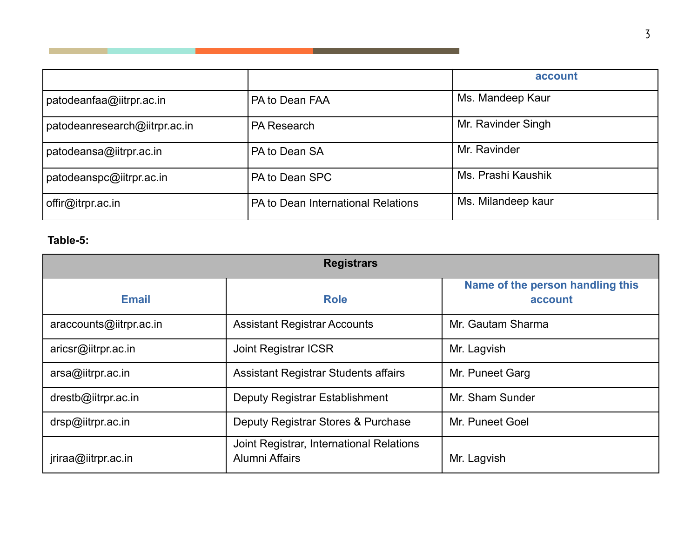|                               |                                    | account            |
|-------------------------------|------------------------------------|--------------------|
| patodeanfaa@iitrpr.ac.in      | PA to Dean FAA                     | Ms. Mandeep Kaur   |
| patodeanresearch@iitrpr.ac.in | <b>PA Research</b>                 | Mr. Ravinder Singh |
| patodeansa@iitrpr.ac.in       | PA to Dean SA                      | Mr. Ravinder       |
| patodeanspc@iitrpr.ac.in      | PA to Dean SPC                     | Ms. Prashi Kaushik |
| offir@itrpr.ac.in             | PA to Dean International Relations | Ms. Milandeep kaur |

#### **Table-5:**

| <b>Registrars</b>       |                                                                   |                                             |  |
|-------------------------|-------------------------------------------------------------------|---------------------------------------------|--|
| <b>Email</b>            | <b>Role</b>                                                       | Name of the person handling this<br>account |  |
| araccounts@iitrpr.ac.in | <b>Assistant Registrar Accounts</b>                               | Mr. Gautam Sharma                           |  |
| aricsr@iitrpr.ac.in     | <b>Joint Registrar ICSR</b>                                       | Mr. Lagvish                                 |  |
| arsa@iitrpr.ac.in       | <b>Assistant Registrar Students affairs</b>                       | Mr. Puneet Garg                             |  |
| drestb@iitrpr.ac.in     | Deputy Registrar Establishment                                    | Mr. Sham Sunder                             |  |
| drsp@iitrpr.ac.in       | Deputy Registrar Stores & Purchase                                | Mr. Puneet Goel                             |  |
| jriraa@iitrpr.ac.in     | Joint Registrar, International Relations<br><b>Alumni Affairs</b> | Mr. Lagvish                                 |  |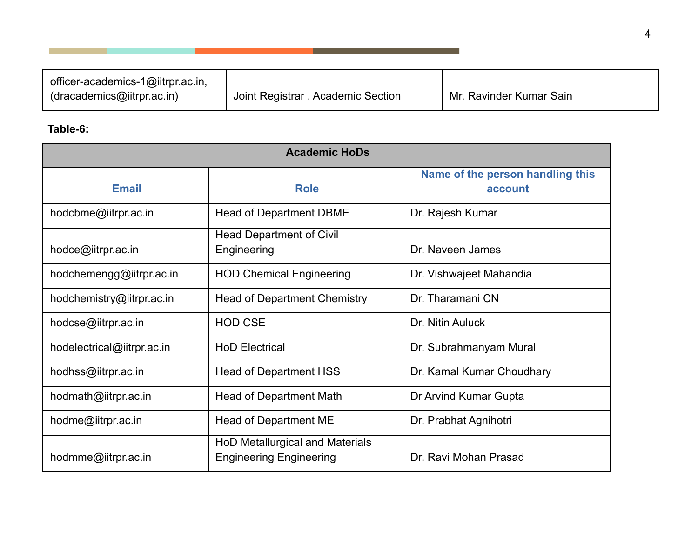| officer-academics-1@iitrpr.ac.in, |                                   |                         |
|-----------------------------------|-----------------------------------|-------------------------|
| dracademics@iitrpr.ac.in)         | Joint Registrar, Academic Section | Mr. Ravinder Kumar Sain |

## **Table-6:**

| <b>Academic HoDs</b>       |                                                                   |                                             |  |
|----------------------------|-------------------------------------------------------------------|---------------------------------------------|--|
| <b>Email</b>               | <b>Role</b>                                                       | Name of the person handling this<br>account |  |
| hodcbme@iitrpr.ac.in       | <b>Head of Department DBME</b>                                    | Dr. Rajesh Kumar                            |  |
| hodce@iitrpr.ac.in         | <b>Head Department of Civil</b><br>Engineering                    | Dr. Naveen James                            |  |
| hodchemengg@iitrpr.ac.in   | <b>HOD Chemical Engineering</b>                                   | Dr. Vishwajeet Mahandia                     |  |
| hodchemistry@iitrpr.ac.in  | <b>Head of Department Chemistry</b>                               | Dr. Tharamani CN                            |  |
| hodcse@iitrpr.ac.in        | <b>HOD CSE</b>                                                    | Dr. Nitin Auluck                            |  |
| hodelectrical@iitrpr.ac.in | <b>HoD Electrical</b>                                             | Dr. Subrahmanyam Mural                      |  |
| hodhss@iitrpr.ac.in        | <b>Head of Department HSS</b>                                     | Dr. Kamal Kumar Choudhary                   |  |
| hodmath@iitrpr.ac.in       | <b>Head of Department Math</b>                                    | Dr Arvind Kumar Gupta                       |  |
| hodme@iitrpr.ac.in         | <b>Head of Department ME</b>                                      | Dr. Prabhat Agnihotri                       |  |
| hodmme@iitrpr.ac.in        | HoD Metallurgical and Materials<br><b>Engineering Engineering</b> | Dr. Ravi Mohan Prasad                       |  |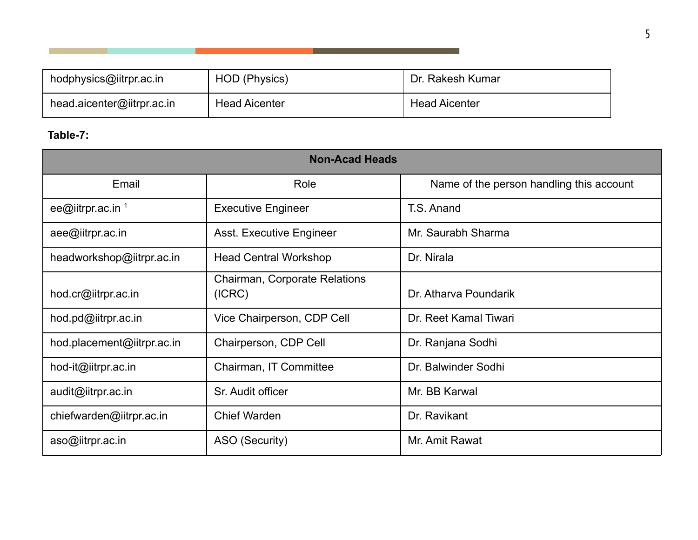| hodphysics@iitrpr.ac.in    | HOD (Physics)        | Dr. Rakesh Kumar     |
|----------------------------|----------------------|----------------------|
| head.aicenter@iitrpr.ac.in | <b>Head Aicenter</b> | <b>Head Aicenter</b> |

## **Table-7:**

| <b>Non-Acad Heads</b>        |                                         |                                          |  |
|------------------------------|-----------------------------------------|------------------------------------------|--|
| Email                        | Role                                    | Name of the person handling this account |  |
| ee@iitrpr.ac.in <sup>1</sup> | <b>Executive Engineer</b>               | T.S. Anand                               |  |
| aee@iitrpr.ac.in             | <b>Asst. Executive Engineer</b>         | Mr. Saurabh Sharma                       |  |
| headworkshop@iitrpr.ac.in    | <b>Head Central Workshop</b>            | Dr. Nirala                               |  |
| hod.cr@iitrpr.ac.in          | Chairman, Corporate Relations<br>(ICRC) | Dr. Atharya Poundarik                    |  |
| hod.pd@iitrpr.ac.in          | Vice Chairperson, CDP Cell              | Dr. Reet Kamal Tiwari                    |  |
| hod.placement@iitrpr.ac.in   | Chairperson, CDP Cell                   | Dr. Ranjana Sodhi                        |  |
| hod-it@iitrpr.ac.in          | Chairman, IT Committee                  | Dr. Balwinder Sodhi                      |  |
| audit@iitrpr.ac.in           | Sr. Audit officer                       | Mr. BB Karwal                            |  |
| chiefwarden@iitrpr.ac.in     | <b>Chief Warden</b>                     | Dr. Ravikant                             |  |
| aso@iitrpr.ac.in             | ASO (Security)                          | Mr. Amit Rawat                           |  |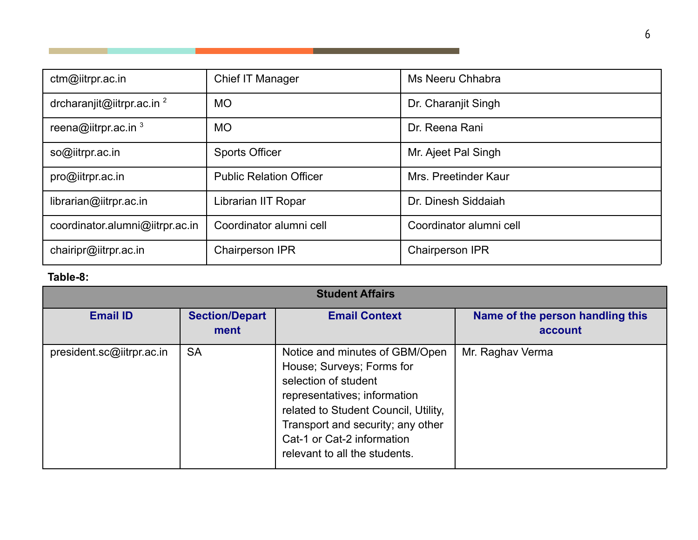| ctm@iitrpr.ac.in                | Chief IT Manager               | Ms Neeru Chhabra        |
|---------------------------------|--------------------------------|-------------------------|
| drcharanjit@iitrpr.ac.in $2$    | <b>MO</b>                      | Dr. Charanjit Singh     |
| reena@iitrpr.ac.in $3$          | <b>MO</b>                      | Dr. Reena Rani          |
| so@iitrpr.ac.in                 | <b>Sports Officer</b>          | Mr. Ajeet Pal Singh     |
| pro@iitrpr.ac.in                | <b>Public Relation Officer</b> | Mrs. Preetinder Kaur    |
| librarian@iitrpr.ac.in          | Librarian IIT Ropar            | Dr. Dinesh Siddaiah     |
| coordinator.alumni@iitrpr.ac.in | Coordinator alumni cell        | Coordinator alumni cell |
| chairipr@iitrpr.ac.in           | <b>Chairperson IPR</b>         | <b>Chairperson IPR</b>  |

. .

## **Table-8:**

| <b>Student Affairs</b>    |                               |                                                                                                                                                                                                                                                                 |                                             |
|---------------------------|-------------------------------|-----------------------------------------------------------------------------------------------------------------------------------------------------------------------------------------------------------------------------------------------------------------|---------------------------------------------|
| <b>Email ID</b>           | <b>Section/Depart</b><br>ment | <b>Email Context</b>                                                                                                                                                                                                                                            | Name of the person handling this<br>account |
| president.sc@iitrpr.ac.in | <b>SA</b>                     | Notice and minutes of GBM/Open<br>House; Surveys; Forms for<br>selection of student<br>representatives; information<br>related to Student Council, Utility,<br>Transport and security; any other<br>Cat-1 or Cat-2 information<br>relevant to all the students. | Mr. Raghav Verma                            |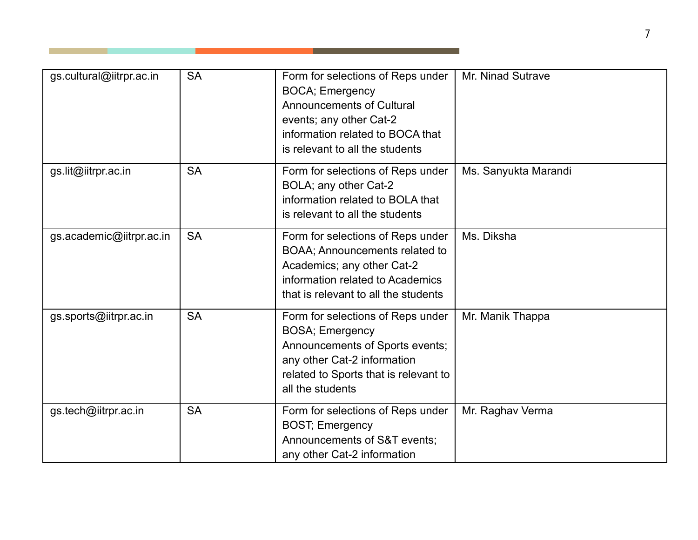| gs.cultural@iitrpr.ac.in | <b>SA</b> | Form for selections of Reps under<br><b>BOCA</b> ; Emergency<br><b>Announcements of Cultural</b><br>events; any other Cat-2<br>information related to BOCA that<br>is relevant to all the students | Mr. Ninad Sutrave    |
|--------------------------|-----------|----------------------------------------------------------------------------------------------------------------------------------------------------------------------------------------------------|----------------------|
| gs.lit@iitrpr.ac.in      | <b>SA</b> | Form for selections of Reps under<br>BOLA; any other Cat-2<br>information related to BOLA that<br>is relevant to all the students                                                                  | Ms. Sanyukta Marandi |
| gs.academic@iitrpr.ac.in | <b>SA</b> | Form for selections of Reps under<br>BOAA; Announcements related to<br>Academics; any other Cat-2<br>information related to Academics<br>that is relevant to all the students                      | Ms. Diksha           |
| gs.sports@iitrpr.ac.in   | <b>SA</b> | Form for selections of Reps under<br><b>BOSA</b> ; Emergency<br>Announcements of Sports events;<br>any other Cat-2 information<br>related to Sports that is relevant to<br>all the students        | Mr. Manik Thappa     |
| gs.tech@iitrpr.ac.in     | <b>SA</b> | Form for selections of Reps under<br><b>BOST</b> ; Emergency<br>Announcements of S&T events;<br>any other Cat-2 information                                                                        | Mr. Raghav Verma     |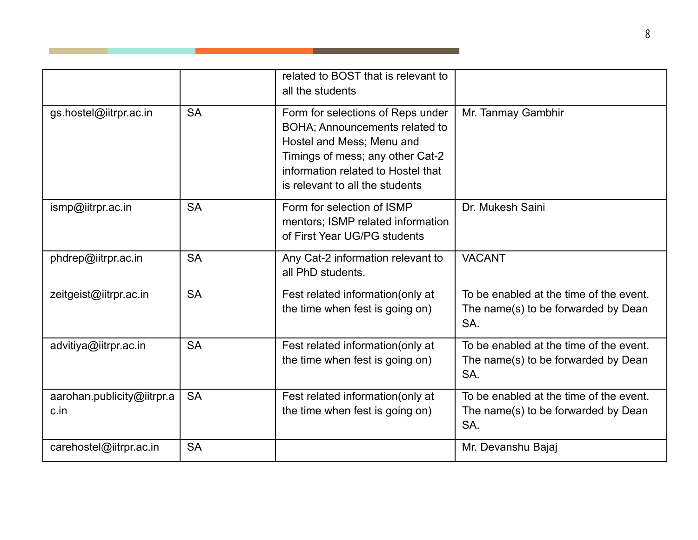|                                    |           | related to BOST that is relevant to<br>all the students                                                                                                                                                       |                                                                                       |
|------------------------------------|-----------|---------------------------------------------------------------------------------------------------------------------------------------------------------------------------------------------------------------|---------------------------------------------------------------------------------------|
| gs.hostel@iitrpr.ac.in             | <b>SA</b> | Form for selections of Reps under<br>BOHA; Announcements related to<br>Hostel and Mess; Menu and<br>Timings of mess; any other Cat-2<br>information related to Hostel that<br>is relevant to all the students | Mr. Tanmay Gambhir                                                                    |
| ismp@iitrpr.ac.in                  | <b>SA</b> | Form for selection of ISMP<br>mentors; ISMP related information<br>of First Year UG/PG students                                                                                                               | Dr. Mukesh Saini                                                                      |
| phdrep@iitrpr.ac.in                | <b>SA</b> | Any Cat-2 information relevant to<br>all PhD students.                                                                                                                                                        | <b>VACANT</b>                                                                         |
| zeitgeist@iitrpr.ac.in             | <b>SA</b> | Fest related information (only at<br>the time when fest is going on)                                                                                                                                          | To be enabled at the time of the event.<br>The name(s) to be forwarded by Dean<br>SA. |
| advitiya@iitrpr.ac.in              | <b>SA</b> | Fest related information(only at<br>the time when fest is going on)                                                                                                                                           | To be enabled at the time of the event.<br>The name(s) to be forwarded by Dean<br>SA. |
| aarohan.publicity@iitrpr.a<br>c.in | <b>SA</b> | Fest related information (only at<br>the time when fest is going on)                                                                                                                                          | To be enabled at the time of the event.<br>The name(s) to be forwarded by Dean<br>SA. |
| carehostel@iitrpr.ac.in            | <b>SA</b> |                                                                                                                                                                                                               | Mr. Devanshu Bajaj                                                                    |

. .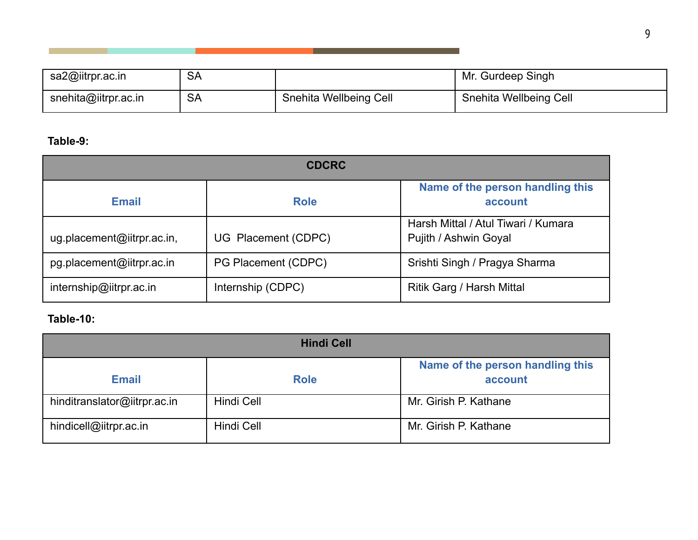| sa2@iitrpr.ac.in     | <b>SA</b> |                        | Mr. Gurdeep Singh      |
|----------------------|-----------|------------------------|------------------------|
| snehita@iitrpr.ac.in | <b>SA</b> | Snehita Wellbeing Cell | Snehita Wellbeing Cell |

m.

# **Table-9:**

| <b>CDCRC</b>               |                     |                                                              |  |
|----------------------------|---------------------|--------------------------------------------------------------|--|
| <b>Email</b>               | <b>Role</b>         | Name of the person handling this<br>account                  |  |
| ug.placement@iitrpr.ac.in, | UG Placement (CDPC) | Harsh Mittal / Atul Tiwari / Kumara<br>Pujith / Ashwin Goyal |  |
| pg.placement@iitrpr.ac.in  | PG Placement (CDPC) | Srishti Singh / Pragya Sharma                                |  |
| internship@iitrpr.ac.in    | Internship (CDPC)   | Ritik Garg / Harsh Mittal                                    |  |

### **Table-10:**

| <b>Hindi Cell</b>            |             |                                             |  |
|------------------------------|-------------|---------------------------------------------|--|
| <b>Email</b>                 | <b>Role</b> | Name of the person handling this<br>account |  |
| hinditranslator@iitrpr.ac.in | Hindi Cell  | Mr. Girish P. Kathane                       |  |
| hindicell@iitrpr.ac.in       | Hindi Cell  | Mr. Girish P. Kathane                       |  |